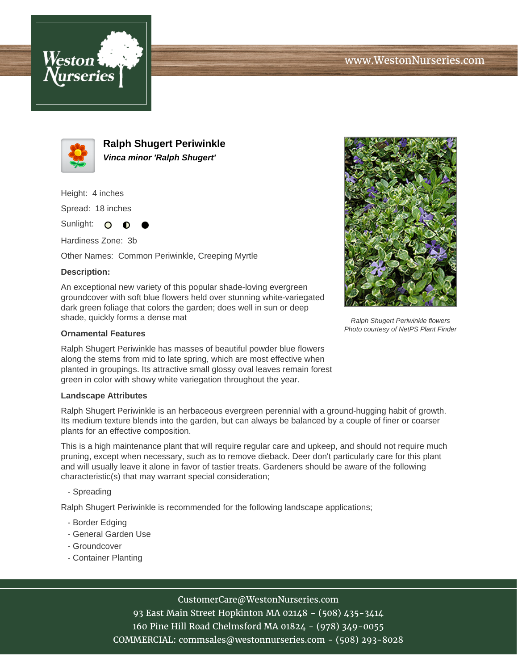



**Ralph Shugert Periwinkle Vinca minor 'Ralph Shugert'**

Height: 4 inches

Spread: 18 inches

Sunlight: O  $\bullet$ 

Hardiness Zone: 3b

Other Names: Common Periwinkle, Creeping Myrtle

### **Description:**

An exceptional new variety of this popular shade-loving evergreen groundcover with soft blue flowers held over stunning white-variegated dark green foliage that colors the garden; does well in sun or deep shade, quickly forms a dense mat

#### **Ornamental Features**

Ralph Shugert Periwinkle has masses of beautiful powder blue flowers along the stems from mid to late spring, which are most effective when planted in groupings. Its attractive small glossy oval leaves remain forest green in color with showy white variegation throughout the year.

#### **Landscape Attributes**

Ralph Shugert Periwinkle is an herbaceous evergreen perennial with a ground-hugging habit of growth. Its medium texture blends into the garden, but can always be balanced by a couple of finer or coarser plants for an effective composition.

This is a high maintenance plant that will require regular care and upkeep, and should not require much pruning, except when necessary, such as to remove dieback. Deer don't particularly care for this plant and will usually leave it alone in favor of tastier treats. Gardeners should be aware of the following characteristic(s) that may warrant special consideration;

- Spreading

Ralph Shugert Periwinkle is recommended for the following landscape applications;

- Border Edging
- General Garden Use
- Groundcover
- Container Planting



# CustomerCare@WestonNurseries.com

93 East Main Street Hopkinton MA 02148 - (508) 435-3414 160 Pine Hill Road Chelmsford MA 01824 - (978) 349-0055 COMMERCIAL: commsales@westonnurseries.com - (508) 293-8028